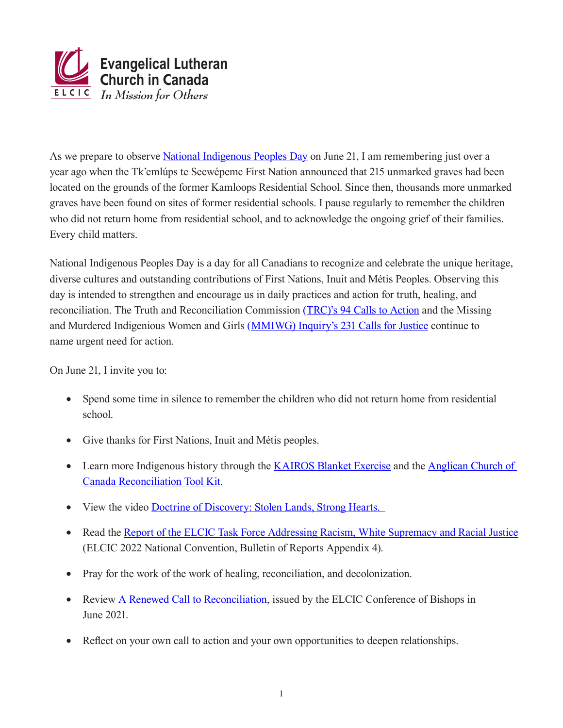

As we prepare to observe [National Indigenous Peoples Day](https://www.rcaanc-cirnac.gc.ca/eng/1100100013718/1534874583157) on June 21, I am remembering just over a year ago when the Tk'emlúps te Secwépemc First Nation announced that 215 unmarked graves had been located on the grounds of the former Kamloops Residential School. Since then, thousands more unmarked graves have been found on sites of former residential schools. I pause regularly to remember the children who did not return home from residential school, and to acknowledge the ongoing grief of their families. Every child matters.

National Indigenous Peoples Day is a day for all Canadians to recognize and celebrate the unique heritage, diverse cultures and outstanding contributions of First Nations, Inuit and Métis Peoples. Observing this day is intended to strengthen and encourage us in daily practices and action for truth, healing, and reconciliation. The Truth and Reconciliation Commission ([TRC\)'s 94 Calls to Action](https://ehprnh2mwo3.exactdn.com/wp-content/uploads/2021/01/Calls_to_Action_English2.pdf) and the Missing and Murdered Indigenious Women and Girls [\(MMIWG\) Inquiry's 231 Calls for Justice](https://www.kairoscanada.org/missing-murdered-indigenous-women-girls/213-calls-for-justice) continue to name urgent need for action.

On June 21, I invite you to:

- Spend some time in silence to remember the children who did not return home from residential school.
- Give thanks for First Nations, Inuit and Métis peoples.
- Learn more Indigenous history through the [KAIROS Blanket Exercise](https://www.kairosblanketexercise.org/) and the Anglican Church of [Canada Reconciliation Tool Kit.](https://www.anglican.ca/tr/reconciliation-toolkit/?fbclid=IwAR2FiZSDe8WWDz7G3HSiLI_62K9lL4jOSGld3bngPLniPDkGQg052e3ullc)
- View the video Doctrine of Discovery: Stolen Lands, Strong Hearts.
- Read the [Report of the ELCIC Task Force Addressing Racism, White Supremacy and Racial Justice](https://elcic.box.com/s/6xd655w191sn9bve4x4em9yryxplrr2b) (ELCIC 2022 National Convention, Bulletin of Reports Appendix 4).
- Pray for the work of the work of healing, reconciliation, and decolonization.
- Review [A Renewed Call to Reconciliation](https://elcic.ca/2021/06/01/a-renewed-call-to-reconciliation/), issued by the ELCIC Conference of Bishops in June 2021.
- Reflect on your own call to action and your own opportunities to deepen relationships.